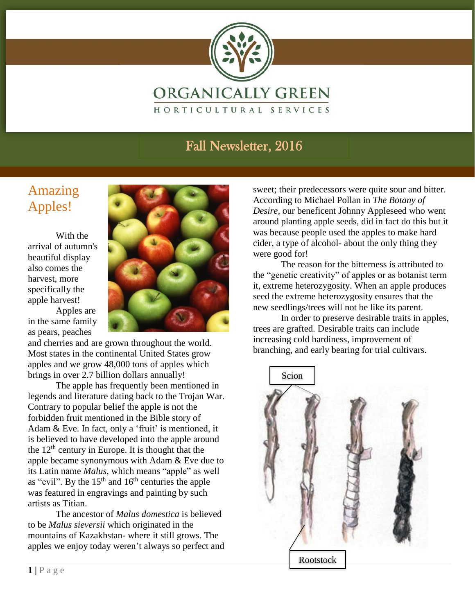

#### The reason for the bitterness is attributed to the "Fall Newsletter, 2016" of all newsletters or as botanist term in the set of an

### Amazing Apples!

With the arrival of autumn's beautiful display also comes the harvest, more specifically the apple harvest!

Apples are in the same family as pears, peaches

and cherries and are grown throughout the world. Most states in the continental United States grow apples and we grow 48,000 tons of apples which brings in over 2.7 billion dollars annually!

The apple has frequently been mentioned in legends and literature dating back to the Trojan War. Contrary to popular belief the apple is not the forbidden fruit mentioned in the Bible story of Adam & Eve. In fact, only a 'fruit' is mentioned, it is believed to have developed into the apple around the  $12<sup>th</sup>$  century in Europe. It is thought that the apple became synonymous with Adam & Eve due to its Latin name *Malus*, which means "apple" as well as "evil". By the  $15<sup>th</sup>$  and  $16<sup>th</sup>$  centuries the apple was featured in engravings and painting by such artists as Titian.

The ancestor of *Malus domestica* is believed to be *Malus sieversii* which originated in the mountains of Kazakhstan- where it still grows. The apples we enjoy today weren't always so perfect and sweet; their predecessors were quite sour and bitter. According to Michael Pollan in *The Botany of Desire,* our beneficent Johnny Appleseed who went around planting apple seeds, did in fact do this but it was because people used the apples to make hard cider, a type of alcohol- about the only thing they were good for!

The reason for the bitterness is attributed to the "genetic creativity" of apples or as botanist term it, extreme heterozygosity. When an apple produces seed the extreme heterozygosity ensures that the new seedlings/trees will not be like its parent.

In order to preserve desirable traits in apples, trees are grafted. Desirable traits can include increasing cold hardiness, improvement of branching, and early bearing for trial cultivars.

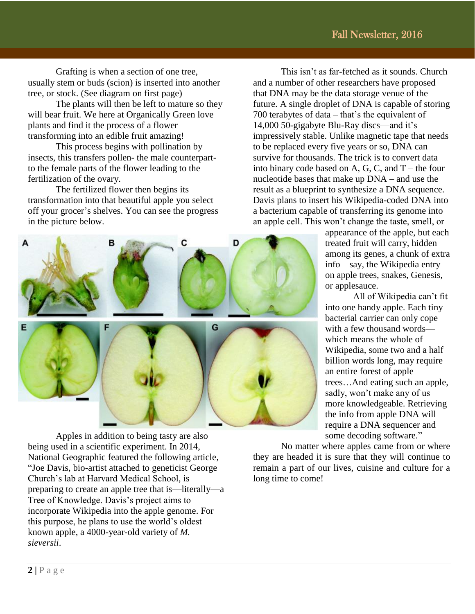Grafting is when a section of one tree, usually stem or buds (scion) is inserted into another tree, or stock. (See diagram on first page)

The plants will then be left to mature so they will bear fruit. We here at Organically Green love plants and find it the process of a flower transforming into an edible fruit amazing!

This process begins with pollination by insects, this transfers pollen- the male counterpartto the female parts of the flower leading to the fertilization of the ovary.

The fertilized flower then begins its transformation into that beautiful apple you select off your grocer's shelves. You can see the progress in the picture below.



Apples in addition to being tasty are also being used in a scientific experiment. In 2014, National Geographic featured the following article, "Joe Davis, bio-artist attached to geneticist George Church's lab at Harvard Medical School, is preparing to create an apple tree that is—literally—a Tree of Knowledge. Davis's project aims to incorporate Wikipedia into the apple genome. For this purpose, he plans to use the world's oldest known apple, a 4000-year-old variety of *M. sieversii*.

This isn't as far-fetched as it sounds. Church and a number of other researchers have proposed that DNA may be the data storage venue of the future. A single droplet of DNA is capable of storing 700 terabytes of data – that's the equivalent of 14,000 50-gigabyte Blu-Ray discs—and it's impressively stable. Unlike magnetic tape that needs to be replaced every five years or so, DNA can survive for thousands. The trick is to convert data into binary code based on A, G, C, and  $T$  – the four nucleotide bases that make up DNA – and use the result as a blueprint to synthesize a DNA sequence. Davis plans to insert his Wikipedia-coded DNA into a bacterium capable of transferring its genome into an apple cell. This won't change the taste, smell, or

> appearance of the apple, but each treated fruit will carry, hidden among its genes, a chunk of extra info—say, the Wikipedia entry on apple trees, snakes, Genesis, or applesauce.

All of Wikipedia can't fit into one handy apple. Each tiny bacterial carrier can only cope with a few thousand words which means the whole of Wikipedia, some two and a half billion words long, may require an entire forest of apple trees…And eating such an apple, sadly, won't make any of us more knowledgeable. Retrieving the info from apple DNA will require a DNA sequencer and some decoding software."

No matter where apples came from or where they are headed it is sure that they will continue to remain a part of our lives, cuisine and culture for a long time to come!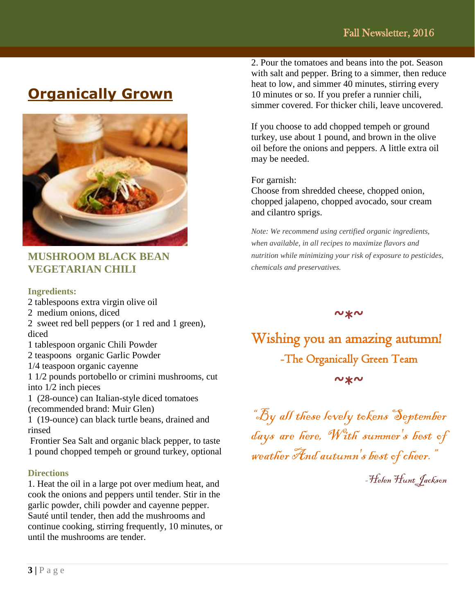### **Organically Grown**



#### **MUSHROOM BLACK BEAN VEGETARIAN CHILI**

#### **Ingredients:**

2 tablespoons extra virgin olive oil

- 2 medium onions, diced
- 2 sweet red bell peppers (or 1 red and 1 green), diced
- 1 tablespoon organic Chili Powder
- 2 teaspoons organic Garlic Powder
- 1/4 teaspoon organic cayenne

1 1/2 pounds portobello or crimini mushrooms, cut into 1/2 inch pieces

1 (28-ounce) can Italian-style diced tomatoes (recommended brand: Muir Glen)

1 (19-ounce) can black turtle beans, drained and rinsed

Frontier Sea Salt and organic black pepper, to taste 1 pound chopped tempeh or ground turkey, optional

#### **Directions**

1. Heat the oil in a large pot over medium heat, and cook the onions and peppers until tender. Stir in the garlic powder, chili powder and cayenne pepper. Sauté until tender, then add the mushrooms and continue cooking, stirring frequently, 10 minutes, or until the mushrooms are tender.

2. Pour the tomatoes and beans into the pot. Season with salt and pepper. Bring to a simmer, then reduce heat to low, and simmer 40 minutes, stirring every 10 minutes or so. If you prefer a runnier chili, simmer covered. For thicker chili, leave uncovered.

If you choose to add chopped tempeh or ground turkey, use about 1 pound, and brown in the olive oil before the onions and peppers. A little extra oil may be needed.

For garnish:

Choose from shredded cheese, chopped onion, chopped jalapeno, chopped avocado, sour cream and cilantro sprigs.

*Note: We recommend using certified organic ingredients, when available, in all recipes to maximize flavors and nutrition while minimizing your risk of exposure to pesticides, chemicals and preservatives.* 

 $\sim x$ 

Wishing you an amazing autumn! -The Organically Green Team  $\sim x \sim$ 

"By all these lovely tokens September days are here, With summer's best of weather And autumn's best of cheer."

-Helen Hunt Jackson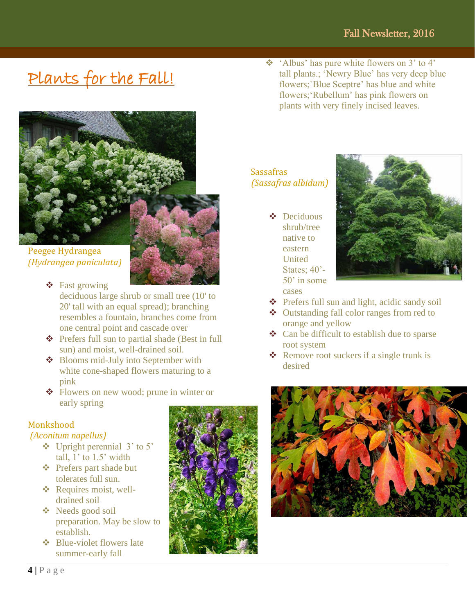# Plants for the Fall!



Peegee Hydrangea *(Hydrangea paniculata)*

Fast growing

deciduous large shrub or small tree (10' to 20' tall with an equal spread); branching resembles a fountain, branches come from one central point and cascade over

- Prefers full sun to partial shade (Best in full sun) and moist, well-drained soil.
- ❖ Blooms mid-July into September with white cone-shaped flowers maturing to a pink
- Flowers on new wood; prune in winter or early spring

#### **Monkshood**

#### *(Aconitum napellus)*

- $\div$  Upright perennial 3' to 5' tall,  $1'$  to  $1.5'$  width
- Prefers part shade but tolerates full sun.
- ❖ Requires moist, welldrained soil
- **❖** Needs good soil preparation. May be slow to establish.
- ❖ Blue-violet flowers late summer-early fall



 'Albus' has pure white flowers on 3' to 4' tall plants.; 'Newry Blue' has very deep blue flowers;`Blue Sceptre' has blue and white flowers;'Rubellum' has pink flowers on plants with very finely incised leaves.

#### Sassafras *(Sassafras albidum)*

 Deciduous shrub/tree native to eastern **United** States; 40'- 50' in some cases



- Prefers full sun and light, acidic sandy soil
- Outstanding fall color ranges from red to orange and yellow
- $\triangleleft$  Can be difficult to establish due to sparse root system
- $\triangleleft$  Remove root suckers if a single trunk is desired